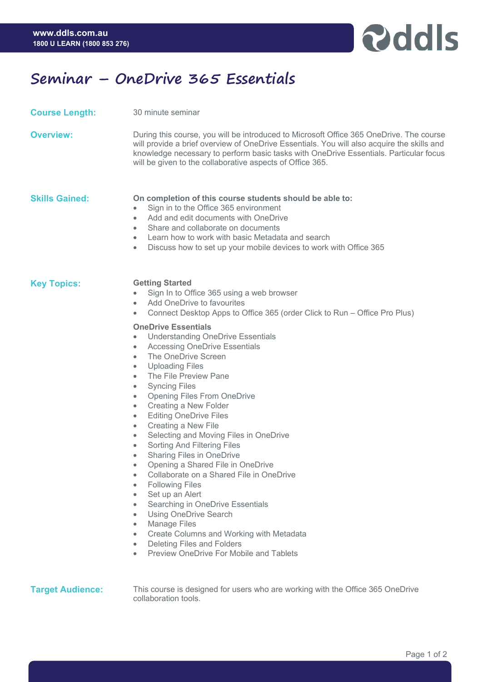

## **Seminar – OneDrive 365 Essentials**

| <b>Course Length:</b> | 30 minute seminar                                                                                                                                                                                                                                                                                                                                                                                                                                                                                                                                                                                                                                                                                                                                                                                                                                                                                                                                                                                                                                                                                        |
|-----------------------|----------------------------------------------------------------------------------------------------------------------------------------------------------------------------------------------------------------------------------------------------------------------------------------------------------------------------------------------------------------------------------------------------------------------------------------------------------------------------------------------------------------------------------------------------------------------------------------------------------------------------------------------------------------------------------------------------------------------------------------------------------------------------------------------------------------------------------------------------------------------------------------------------------------------------------------------------------------------------------------------------------------------------------------------------------------------------------------------------------|
| <b>Overview:</b>      | During this course, you will be introduced to Microsoft Office 365 OneDrive. The course<br>will provide a brief overview of OneDrive Essentials. You will also acquire the skills and<br>knowledge necessary to perform basic tasks with OneDrive Essentials. Particular focus<br>will be given to the collaborative aspects of Office 365.                                                                                                                                                                                                                                                                                                                                                                                                                                                                                                                                                                                                                                                                                                                                                              |
| <b>Skills Gained:</b> | On completion of this course students should be able to:<br>Sign in to the Office 365 environment<br>$\bullet$<br>Add and edit documents with OneDrive<br>٠<br>Share and collaborate on documents<br>٠<br>Learn how to work with basic Metadata and search<br>$\bullet$<br>Discuss how to set up your mobile devices to work with Office 365<br>۰                                                                                                                                                                                                                                                                                                                                                                                                                                                                                                                                                                                                                                                                                                                                                        |
| <b>Key Topics:</b>    | <b>Getting Started</b><br>Sign In to Office 365 using a web browser<br>Add OneDrive to favourites<br>Connect Desktop Apps to Office 365 (order Click to Run – Office Pro Plus)<br>۰<br><b>OneDrive Essentials</b><br><b>Understanding OneDrive Essentials</b><br><b>Accessing OneDrive Essentials</b><br>٠<br>The OneDrive Screen<br>٠<br><b>Uploading Files</b><br>۰<br>The File Preview Pane<br>٠<br><b>Syncing Files</b><br>۰<br><b>Opening Files From OneDrive</b><br>۰<br>Creating a New Folder<br>۰<br><b>Editing OneDrive Files</b><br>۰<br>Creating a New File<br>۰<br>Selecting and Moving Files in OneDrive<br>۰<br>Sorting And Filtering Files<br>۰<br><b>Sharing Files in OneDrive</b><br>$\bullet$<br>Opening a Shared File in OneDrive<br>Collaborate on a Shared File in OneDrive<br><b>Following Files</b><br>٠<br>Set up an Alert<br>٠<br>Searching in OneDrive Essentials<br>٠<br><b>Using OneDrive Search</b><br>٠<br><b>Manage Files</b><br>٠<br>Create Columns and Working with Metadata<br>$\bullet$<br>Deleting Files and Folders<br>٠<br>Preview OneDrive For Mobile and Tablets |

**Target Audience:** This course is designed for users who are working with the Office 365 OneDrive collaboration tools.